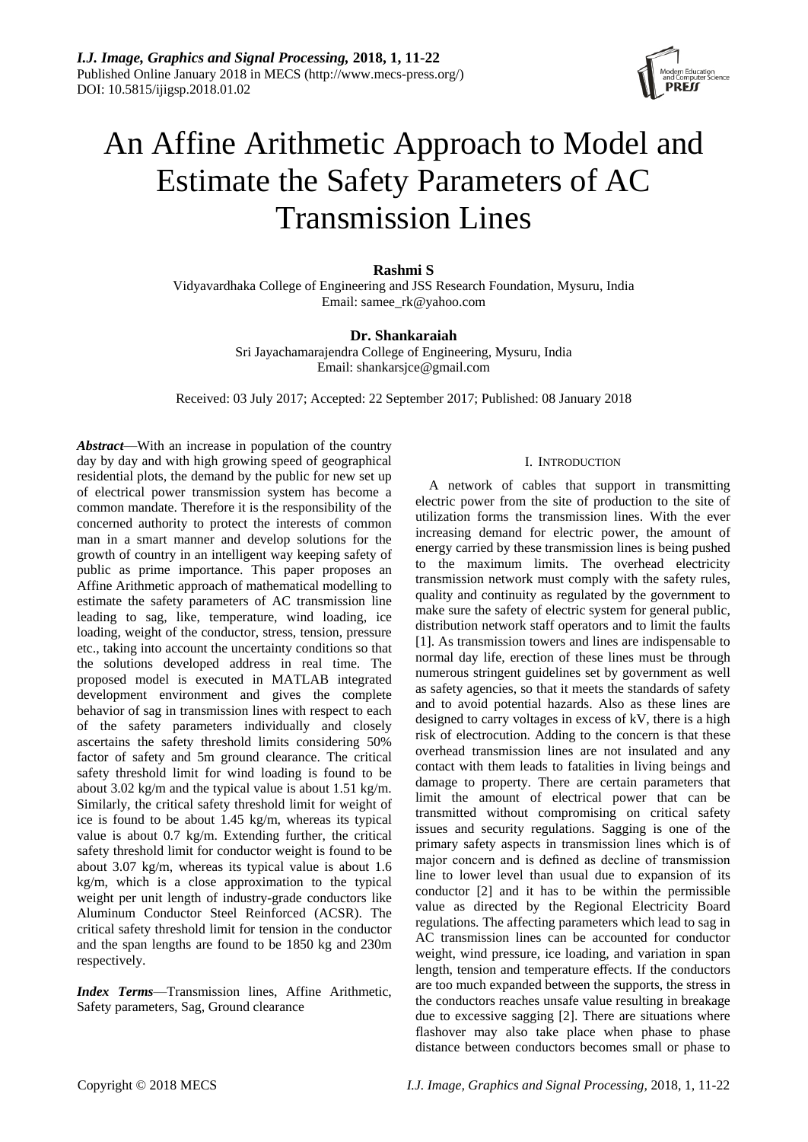

# An Affine Arithmetic Approach to Model and Estimate the Safety Parameters of AC Transmission Lines

# **Rashmi S**

Vidyavardhaka College of Engineering and JSS Research Foundation, Mysuru, India Email: samee\_rk@yahoo.com

# **Dr. Shankaraiah**

Sri Jayachamarajendra College of Engineering, Mysuru, India Email: shankarsjce@gmail.com

Received: 03 July 2017; Accepted: 22 September 2017; Published: 08 January 2018

*Abstract*—With an increase in population of the country day by day and with high growing speed of geographical residential plots, the demand by the public for new set up of electrical power transmission system has become a common mandate. Therefore it is the responsibility of the concerned authority to protect the interests of common man in a smart manner and develop solutions for the growth of country in an intelligent way keeping safety of public as prime importance. This paper proposes an Affine Arithmetic approach of mathematical modelling to estimate the safety parameters of AC transmission line leading to sag, like, temperature, wind loading, ice loading, weight of the conductor, stress, tension, pressure etc., taking into account the uncertainty conditions so that the solutions developed address in real time. The proposed model is executed in MATLAB integrated development environment and gives the complete behavior of sag in transmission lines with respect to each of the safety parameters individually and closely ascertains the safety threshold limits considering 50% factor of safety and 5m ground clearance. The critical safety threshold limit for wind loading is found to be about 3.02 kg/m and the typical value is about 1.51 kg/m. Similarly, the critical safety threshold limit for weight of ice is found to be about 1.45 kg/m, whereas its typical value is about 0.7 kg/m. Extending further, the critical safety threshold limit for conductor weight is found to be about 3.07 kg/m, whereas its typical value is about 1.6 kg/m, which is a close approximation to the typical weight per unit length of industry-grade conductors like Aluminum Conductor Steel Reinforced (ACSR). The critical safety threshold limit for tension in the conductor and the span lengths are found to be 1850 kg and 230m respectively.

*Index Terms*—Transmission lines, Affine Arithmetic, Safety parameters, Sag, Ground clearance

## I. INTRODUCTION

A network of cables that support in transmitting electric power from the site of production to the site of utilization forms the transmission lines. With the ever increasing demand for electric power, the amount of energy carried by these transmission lines is being pushed to the maximum limits. The overhead electricity transmission network must comply with the safety rules, quality and continuity as regulated by the government to make sure the safety of electric system for general public, distribution network staff operators and to limit the faults [1]. As transmission towers and lines are indispensable to normal day life, erection of these lines must be through numerous stringent guidelines set by government as well as safety agencies, so that it meets the standards of safety and to avoid potential hazards. Also as these lines are designed to carry voltages in excess of kV, there is a high risk of electrocution. Adding to the concern is that these overhead transmission lines are not insulated and any contact with them leads to fatalities in living beings and damage to property. There are certain parameters that limit the amount of electrical power that can be transmitted without compromising on critical safety issues and security regulations. Sagging is one of the primary safety aspects in transmission lines which is of major concern and is defined as decline of transmission line to lower level than usual due to expansion of its conductor [2] and it has to be within the permissible value as directed by the Regional Electricity Board regulations. The affecting parameters which lead to sag in AC transmission lines can be accounted for conductor weight, wind pressure, ice loading, and variation in span length, tension and temperature effects. If the conductors are too much expanded between the supports, the stress in the conductors reaches unsafe value resulting in breakage due to excessive sagging [2]. There are situations where flashover may also take place when phase to phase distance between conductors becomes small or phase to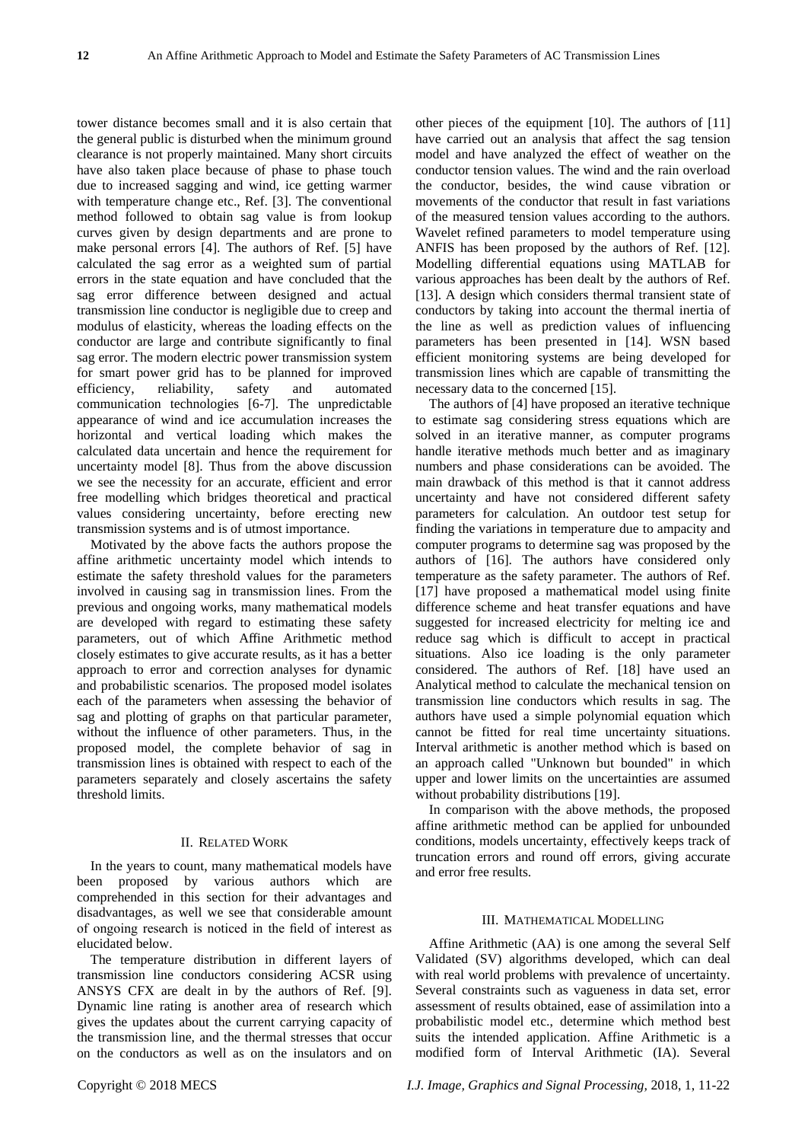tower distance becomes small and it is also certain that the general public is disturbed when the minimum ground clearance is not properly maintained. Many short circuits have also taken place because of phase to phase touch due to increased sagging and wind, ice getting warmer with temperature change etc., Ref. [3]. The conventional method followed to obtain sag value is from lookup curves given by design departments and are prone to make personal errors [4]. The authors of Ref. [5] have calculated the sag error as a weighted sum of partial errors in the state equation and have concluded that the sag error difference between designed and actual transmission line conductor is negligible due to creep and modulus of elasticity, whereas the loading effects on the conductor are large and contribute significantly to final sag error. The modern electric power transmission system for smart power grid has to be planned for improved efficiency, reliability, safety and automated communication technologies [6-7]. The unpredictable appearance of wind and ice accumulation increases the horizontal and vertical loading which makes the calculated data uncertain and hence the requirement for uncertainty model [8]. Thus from the above discussion we see the necessity for an accurate, efficient and error free modelling which bridges theoretical and practical values considering uncertainty, before erecting new transmission systems and is of utmost importance.

Motivated by the above facts the authors propose the affine arithmetic uncertainty model which intends to estimate the safety threshold values for the parameters involved in causing sag in transmission lines. From the previous and ongoing works, many mathematical models are developed with regard to estimating these safety parameters, out of which Affine Arithmetic method closely estimates to give accurate results, as it has a better approach to error and correction analyses for dynamic and probabilistic scenarios. The proposed model isolates each of the parameters when assessing the behavior of sag and plotting of graphs on that particular parameter, without the influence of other parameters. Thus, in the proposed model, the complete behavior of sag in transmission lines is obtained with respect to each of the parameters separately and closely ascertains the safety threshold limits.

# II. RELATED WORK

In the years to count, many mathematical models have been proposed by various authors which are comprehended in this section for their advantages and disadvantages, as well we see that considerable amount of ongoing research is noticed in the field of interest as elucidated below.

The temperature distribution in different layers of transmission line conductors considering ACSR using ANSYS CFX are dealt in by the authors of Ref. [9]. Dynamic line rating is another area of research which gives the updates about the current carrying capacity of the transmission line, and the thermal stresses that occur on the conductors as well as on the insulators and on

other pieces of the equipment [10]. The authors of [11] have carried out an analysis that affect the sag tension model and have analyzed the effect of weather on the conductor tension values. The wind and the rain overload the conductor, besides, the wind cause vibration or movements of the conductor that result in fast variations of the measured tension values according to the authors. Wavelet refined parameters to model temperature using ANFIS has been proposed by the authors of Ref. [12]. Modelling differential equations using MATLAB for various approaches has been dealt by the authors of Ref. [13]. A design which considers thermal transient state of conductors by taking into account the thermal inertia of the line as well as prediction values of influencing parameters has been presented in [14]. WSN based efficient monitoring systems are being developed for transmission lines which are capable of transmitting the necessary data to the concerned [15].

The authors of [4] have proposed an iterative technique to estimate sag considering stress equations which are solved in an iterative manner, as computer programs handle iterative methods much better and as imaginary numbers and phase considerations can be avoided. The main drawback of this method is that it cannot address uncertainty and have not considered different safety parameters for calculation. An outdoor test setup for finding the variations in temperature due to ampacity and computer programs to determine sag was proposed by the authors of [16]. The authors have considered only temperature as the safety parameter. The authors of Ref. [17] have proposed a mathematical model using finite difference scheme and heat transfer equations and have suggested for increased electricity for melting ice and reduce sag which is difficult to accept in practical situations. Also ice loading is the only parameter considered. The authors of Ref. [18] have used an Analytical method to calculate the mechanical tension on transmission line conductors which results in sag. The authors have used a simple polynomial equation which cannot be fitted for real time uncertainty situations. Interval arithmetic is another method which is based on an approach called "Unknown but bounded" in which upper and lower limits on the uncertainties are assumed without probability distributions [19].

In comparison with the above methods, the proposed affine arithmetic method can be applied for unbounded conditions, models uncertainty, effectively keeps track of truncation errors and round off errors, giving accurate and error free results.

#### III. MATHEMATICAL MODELLING

Affine Arithmetic (AA) is one among the several Self Validated (SV) algorithms developed, which can deal with real world problems with prevalence of uncertainty. Several constraints such as vagueness in data set, error assessment of results obtained, ease of assimilation into a probabilistic model etc., determine which method best suits the intended application. Affine Arithmetic is a modified form of Interval Arithmetic (IA). Several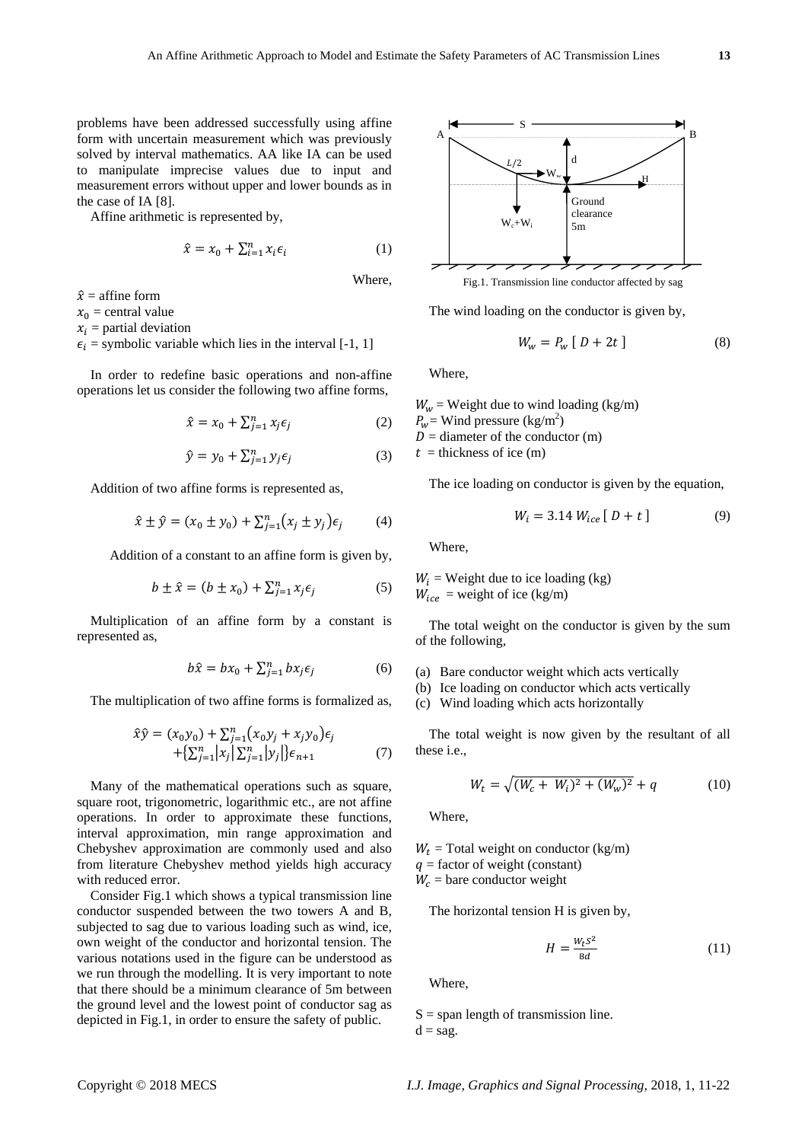problems have been addressed successfully using affine form with uncertain measurement which was previously solved by interval mathematics. AA like IA can be used to manipulate imprecise values due to input and measurement errors without upper and lower bounds as in the case of IA [8].

Affine arithmetic is represented by,

$$
\hat{x} = x_0 + \sum_{i=1}^n x_i \epsilon_i \tag{1}
$$

Where,

 $\hat{x}$  = affine form  $x_0$  = central value

 $x_i$  = partial deviation

 $\epsilon_i$  = symbolic variable which lies in the interval [-1, 1]

In order to redefine basic operations and non-affine operations let us consider the following two affine forms,

$$
\hat{x} = x_0 + \sum_{j=1}^n x_j \epsilon_j \tag{2}
$$

$$
\hat{y} = y_0 + \sum_{j=1}^{n} y_j \epsilon_j \tag{3}
$$

Addition of two affine forms is represented as,

$$
\hat{x} \pm \hat{y} = (x_0 \pm y_0) + \sum_{j=1}^n (x_j \pm y_j)\epsilon_j \tag{4}
$$

Addition of a constant to an affine form is given by,

$$
b \pm \hat{x} = (b \pm x_0) + \sum_{j=1}^{n} x_j \epsilon_j \tag{5}
$$

Multiplication of an affine form by a constant is represented as,

$$
b\hat{x} = bx_0 + \sum_{j=1}^n bx_j \epsilon_j \tag{6}
$$

The multiplication of two affine forms is formalized as,

$$
\hat{x}\hat{y} = (x_0y_0) + \sum_{j=1}^n (x_0y_j + x_jy_0)\epsilon_j \n+ \sum_{j=1}^n |x_j| \sum_{j=1}^n |y_j| \epsilon_{n+1}
$$
\n(7)

Many of the mathematical operations such as square, square root, trigonometric, logarithmic etc., are not affine operations. In order to approximate these functions, interval approximation, min range approximation and Chebyshev approximation are commonly used and also from literature Chebyshev method yields high accuracy with reduced error.

Consider Fig.1 which shows a typical transmission line conductor suspended between the two towers A and B, subjected to sag due to various loading such as wind, ice, own weight of the conductor and horizontal tension. The various notations used in the figure can be understood as we run through the modelling. It is very important to note that there should be a minimum clearance of 5m between the ground level and the lowest point of conductor sag as depicted in Fig.1, in order to ensure the safety of public.



The wind loading on the conductor is given by,

$$
W_w = P_w [D + 2t]
$$
 (8)

Where,

 $W_w$  = Weight due to wind loading (kg/m)  $P_w$  = Wind pressure (kg/m<sup>2</sup>)  $D =$  diameter of the conductor (m)  $t =$  thickness of ice (m)

The ice loading on conductor is given by the equation,

$$
W_i = 3.14 \, W_{ice} \, [ \, D + t \, ] \tag{9}
$$

Where,

 $W_i$  = Weight due to ice loading (kg)  $W_{ice}$  = weight of ice (kg/m)

The total weight on the conductor is given by the sum of the following,

- (a) Bare conductor weight which acts vertically
- (b) Ice loading on conductor which acts vertically
- (c) Wind loading which acts horizontally

The total weight is now given by the resultant of all these i.e.,

$$
W_t = \sqrt{(W_c + W_i)^2 + (W_w)^2} + q \tag{10}
$$

Where,

 $W_t$  = Total weight on conductor (kg/m)  $q =$  factor of weight (constant)

 $W_c$  = bare conductor weight

The horizontal tension H is given by,

$$
H = \frac{W_t S^2}{8d} \tag{11}
$$

Where,

 $S =$ span length of transmission line.  $d =$ sag.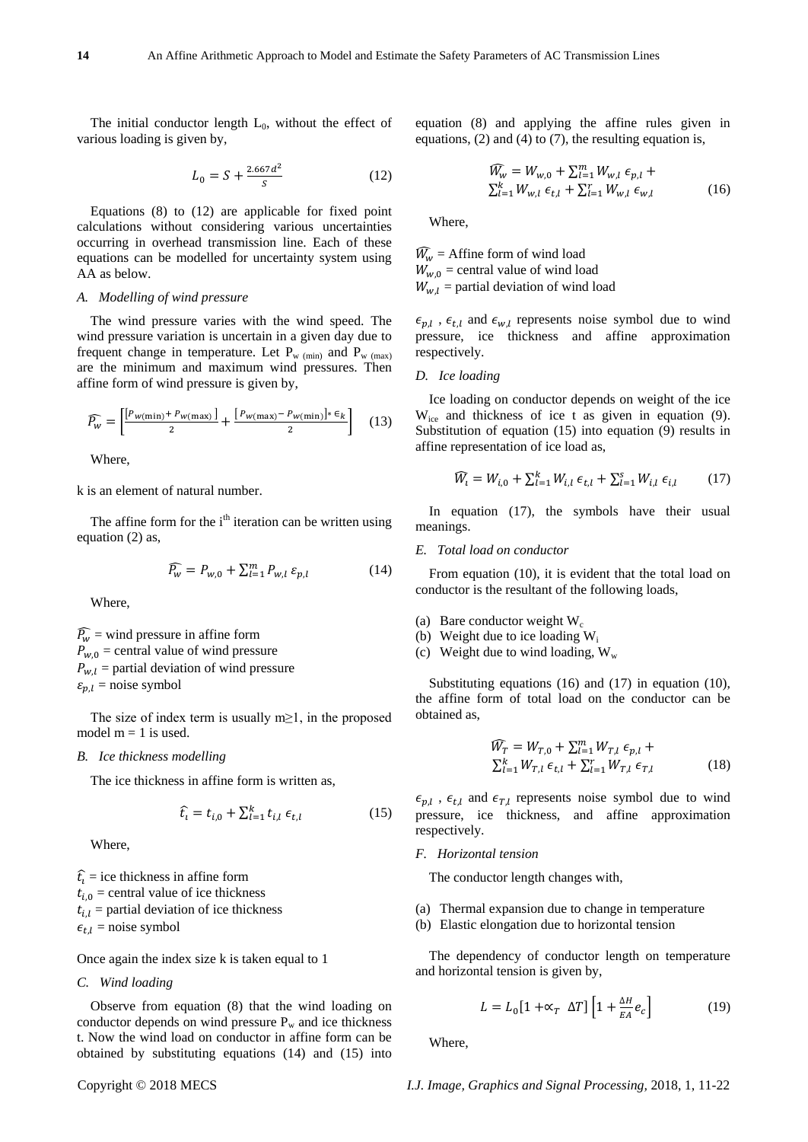The initial conductor length  $L_0$ , without the effect of various loading is given by,

$$
L_0 = S + \frac{2.667d^2}{s} \tag{12}
$$

Equations (8) to (12) are applicable for fixed point calculations without considering various uncertainties occurring in overhead transmission line. Each of these equations can be modelled for uncertainty system using AA as below.

#### *A. Modelling of wind pressure*

The wind pressure varies with the wind speed. The wind pressure variation is uncertain in a given day due to frequent change in temperature. Let  $P_{w \text{ (min)}}$  and  $P_{w \text{ (max)}}$ are the minimum and maximum wind pressures. Then affine form of wind pressure is given by,

$$
\widehat{P_w} = \left[ \frac{\left[ P_w(\min) + P_w(\max) \right]}{2} + \frac{\left[ P_w(\max) - P_w(\min) \right] * \epsilon_k}{2} \right] \tag{13}
$$

Where,

k is an element of natural number.

The affine form for the  $i<sup>th</sup>$  iteration can be written using equation (2) as,

$$
\widehat{P_w} = P_{w,0} + \sum_{l=1}^{m} P_{w,l} \, \varepsilon_{p,l} \tag{14}
$$

Where,

 $\widehat{P_{w}}$  = wind pressure in affine form  $P_{w,0}$  = central value of wind pressure  $P_{w,l}$  = partial deviation of wind pressure  $\varepsilon_{n,l}$  = noise symbol

The size of index term is usually m $\geq$ 1, in the proposed model  $m = 1$  is used.

#### *B. Ice thickness modelling*

The ice thickness in affine form is written as,

$$
\hat{t}_i = t_{i,0} + \sum_{l=1}^{k} t_{i,l} \epsilon_{t,l} \tag{15}
$$

Where,

 $\hat{t}_i$  = ice thickness in affine form  $t_{i,0}$  = central value of ice thickness  $t_{i,l}$  = partial deviation of ice thickness  $\epsilon_{t,l}$  = noise symbol

Once again the index size k is taken equal to 1

# *C. Wind loading*

Observe from equation (8) that the wind loading on conductor depends on wind pressure  $P_w$  and ice thickness t. Now the wind load on conductor in affine form can be obtained by substituting equations (14) and (15) into equation (8) and applying the affine rules given in equations, (2) and (4) to (7), the resulting equation is,

$$
\widehat{W}_{w} = W_{w,0} + \sum_{l=1}^{m} W_{w,l} \epsilon_{p,l} + \sum_{l=1}^{k} W_{w,l} \epsilon_{l,l} + \sum_{l=1}^{r} W_{w,l} \epsilon_{w,l}
$$
\n(16)

Where,

 $\widehat{W}_w$  = Affine form of wind load  $W_{w,0}$  = central value of wind load  $W_{w,l}$  = partial deviation of wind load

 $\epsilon_{p,l}$ ,  $\epsilon_{t,l}$  and  $\epsilon_{w,l}$  represents noise symbol due to wind pressure, ice thickness and affine approximation respectively.

#### *D. Ice loading*

Ice loading on conductor depends on weight of the ice  $W_{ice}$  and thickness of ice t as given in equation (9). Substitution of equation (15) into equation (9) results in affine representation of ice load as,

$$
\widehat{W}_{i} = W_{i,0} + \sum_{l=1}^{k} W_{i,l} \epsilon_{t,l} + \sum_{l=1}^{s} W_{i,l} \epsilon_{i,l} \qquad (17)
$$

In equation (17), the symbols have their usual meanings.

#### *E. Total load on conductor*

From equation (10), it is evident that the total load on conductor is the resultant of the following loads,

- (a) Bare conductor weight  $W_c$
- (b) Weight due to ice loading  $W_i$
- (c) Weight due to wind loading,  $W_w$

Substituting equations (16) and (17) in equation (10), the affine form of total load on the conductor can be obtained as,

$$
\widehat{W}_T = W_{T,0} + \sum_{l=1}^m W_{T,l} \epsilon_{p,l} + \sum_{l=1}^k W_{T,l} \epsilon_{T,l} + \sum_{l=1}^r W_{T,l} \epsilon_{T,l} \tag{18}
$$

 $\epsilon_{p,l}$ ,  $\epsilon_{t,l}$  and  $\epsilon_{T,l}$  represents noise symbol due to wind pressure, ice thickness, and affine approximation respectively.

# *F. Horizontal tension*

The conductor length changes with,

- (a) Thermal expansion due to change in temperature
- (b) Elastic elongation due to horizontal tension

The dependency of conductor length on temperature and horizontal tension is given by,

$$
L = L_0 \left[ 1 + \alpha_T \Delta T \right] \left[ 1 + \frac{\Delta H}{EA} e_c \right] \tag{19}
$$

Where,

Copyright © 2018 MECS *I.J. Image, Graphics and Signal Processing,* 2018, 1, 11-22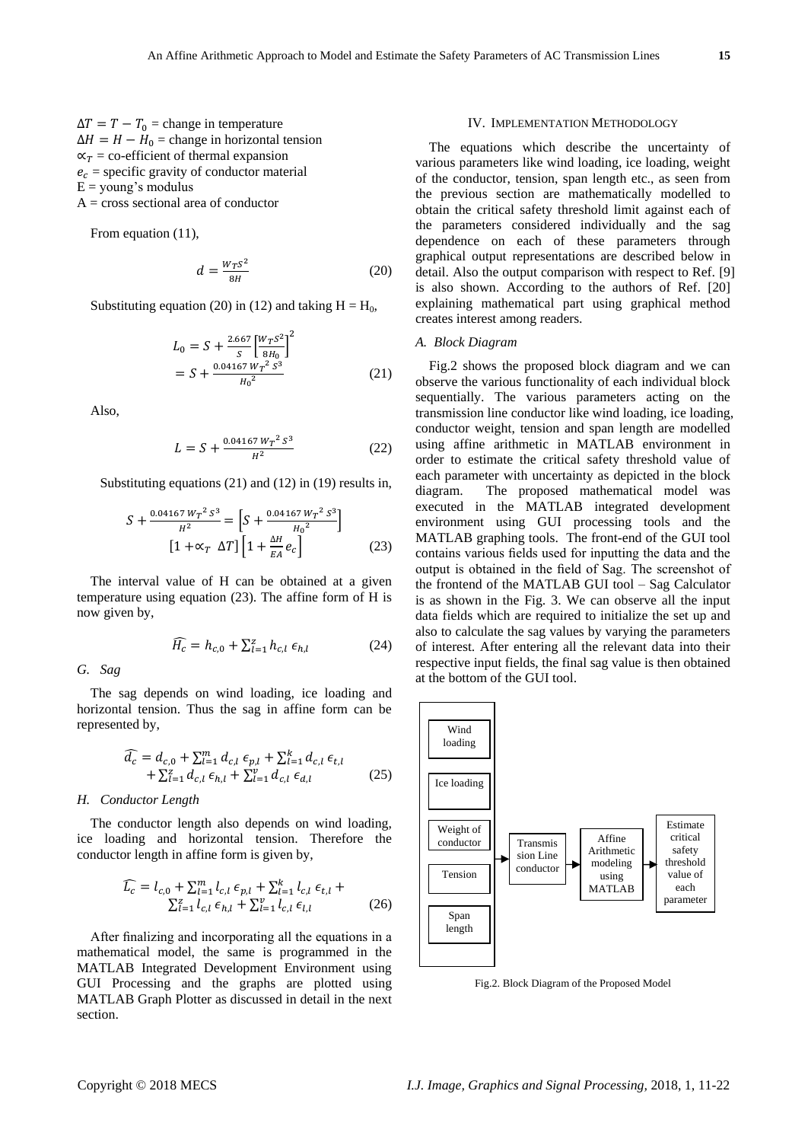$\Delta T = T - T_0 =$ change in temperature  $\Delta H = H - H_0 =$ change in horizontal tension  $\alpha_T$  = co-efficient of thermal expansion  $e_c$  = specific gravity of conductor material  $E = \text{young's modulus}$ A = cross sectional area of conductor

From equation (11),

$$
d = \frac{w_T s^2}{8H} \tag{20}
$$

Substituting equation (20) in (12) and taking  $H = H_0$ ,

$$
L_0 = S + \frac{2.667}{S} \left[ \frac{W_T S^2}{8H_0} \right]^2
$$
  
=  $S + \frac{0.04167 W_T^2 S^3}{H_0^2}$  (21)

Also,

$$
L = S + \frac{0.04167 W_T^2 S^3}{H^2}
$$
 (22)

Substituting equations (21) and (12) in (19) results in,

$$
S + \frac{0.04167 W_T^2 S^3}{H^2} = \left[ S + \frac{0.04167 W_T^2 S^3}{H_0^2} \right]
$$

$$
\left[ 1 + \alpha_T \Delta T \right] \left[ 1 + \frac{\Delta H}{EA} e_c \right]
$$
(23)

The interval value of H can be obtained at a given temperature using equation (23). The affine form of H is now given by,

$$
\widehat{H_c} = h_{c,0} + \sum_{l=1}^{z} h_{c,l} \,\epsilon_{h,l} \tag{24}
$$

*G. Sag*

The sag depends on wind loading, ice loading and horizontal tension. Thus the sag in affine form can be represented by,

$$
\widehat{d_c} = d_{c,0} + \sum_{l=1}^{m} d_{c,l} \epsilon_{p,l} + \sum_{l=1}^{k} d_{c,l} \epsilon_{t,l} \n+ \sum_{l=1}^{z} d_{c,l} \epsilon_{h,l} + \sum_{l=1}^{v} d_{c,l} \epsilon_{d,l}
$$
\n(25)

#### *H. Conductor Length*

The conductor length also depends on wind loading, ice loading and horizontal tension. Therefore the conductor length in affine form is given by,

$$
\widehat{L_c} = l_{c,0} + \sum_{l=1}^{m} l_{c,l} \epsilon_{p,l} + \sum_{l=1}^{k} l_{c,l} \epsilon_{t,l} + \sum_{l=1}^{k} l_{c,l} \epsilon_{l,l} + \sum_{l=1}^{k} l_{c,l} \epsilon_{l,l}
$$
\n(26)

After finalizing and incorporating all the equations in a mathematical model, the same is programmed in the MATLAB Integrated Development Environment using GUI Processing and the graphs are plotted using MATLAB Graph Plotter as discussed in detail in the next section.

#### IV. IMPLEMENTATION METHODOLOGY

The equations which describe the uncertainty of various parameters like wind loading, ice loading, weight of the conductor, tension, span length etc., as seen from the previous section are mathematically modelled to obtain the critical safety threshold limit against each of the parameters considered individually and the sag dependence on each of these parameters through graphical output representations are described below in detail. Also the output comparison with respect to Ref. [9] is also shown. According to the authors of Ref. [20] explaining mathematical part using graphical method creates interest among readers.

#### *A. Block Diagram*

Fig.2 shows the proposed block diagram and we can observe the various functionality of each individual block sequentially. The various parameters acting on the transmission line conductor like wind loading, ice loading, conductor weight, tension and span length are modelled using affine arithmetic in MATLAB environment in order to estimate the critical safety threshold value of each parameter with uncertainty as depicted in the block diagram. The proposed mathematical model was executed in the MATLAB integrated development environment using GUI processing tools and the MATLAB graphing tools. The front-end of the GUI tool contains various fields used for inputting the data and the output is obtained in the field of Sag. The screenshot of the frontend of the MATLAB GUI tool – Sag Calculator is as shown in the Fig. 3. We can observe all the input data fields which are required to initialize the set up and also to calculate the sag values by varying the parameters of interest. After entering all the relevant data into their respective input fields, the final sag value is then obtained at the bottom of the GUI tool.



Fig.2. Block Diagram of the Proposed Model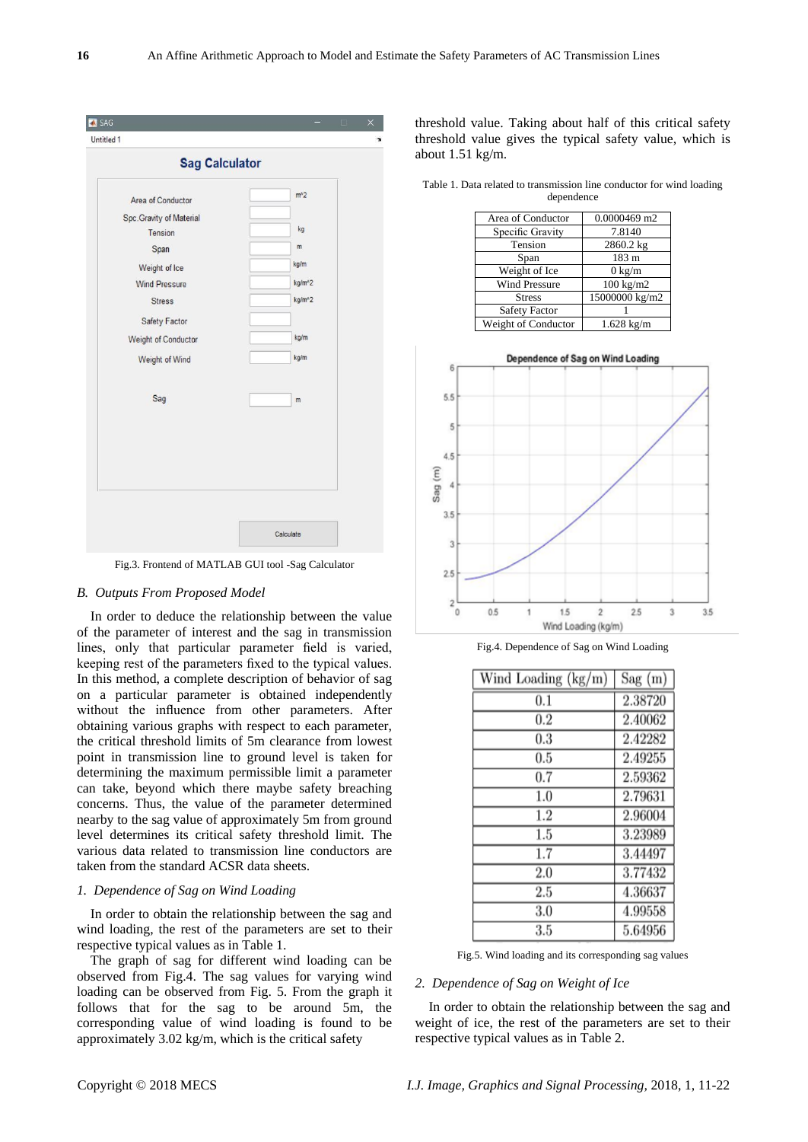| Untitled 1                 |                     | $\Box$ |
|----------------------------|---------------------|--------|
| <b>Sag Calculator</b>      |                     |        |
| Area of Conductor          | $m^2$               |        |
| Spc.Gravity of Material    |                     |        |
| Tension                    | kg                  |        |
| Span                       | m                   |        |
| Weight of Ice              | kg/m                |        |
| <b>Wind Pressure</b>       | kg/m <sup>^2</sup>  |        |
| <b>Stress</b>              | kg/m <sup>n</sup> 2 |        |
| Safety Factor              |                     |        |
| <b>Weight of Conductor</b> | kg/m                |        |
| Weight of Wind             | kg/m                |        |
| Sag                        | m                   |        |
|                            |                     |        |
|                            |                     |        |
|                            |                     |        |
|                            |                     |        |
|                            |                     |        |
|                            |                     |        |
|                            | Calculate           |        |

Fig.3. Frontend of MATLAB GUI tool -Sag Calculator

# *B. Outputs From Proposed Model*

In order to deduce the relationship between the value of the parameter of interest and the sag in transmission lines, only that particular parameter field is varied, keeping rest of the parameters fixed to the typical values. In this method, a complete description of behavior of sag on a particular parameter is obtained independently without the influence from other parameters. After obtaining various graphs with respect to each parameter, the critical threshold limits of 5m clearance from lowest point in transmission line to ground level is taken for determining the maximum permissible limit a parameter can take, beyond which there maybe safety breaching concerns. Thus, the value of the parameter determined nearby to the sag value of approximately 5m from ground level determines its critical safety threshold limit. The various data related to transmission line conductors are taken from the standard ACSR data sheets.

# *1. Dependence of Sag on Wind Loading*

In order to obtain the relationship between the sag and wind loading, the rest of the parameters are set to their respective typical values as in Table 1.

The graph of sag for different wind loading can be observed from Fig.4. The sag values for varying wind loading can be observed from Fig. 5. From the graph it follows that for the sag to be around 5m, the corresponding value of wind loading is found to be approximately 3.02 kg/m, which is the critical safety

threshold value. Taking about half of this critical safety threshold value gives the typical safety value, which is about 1.51 kg/m.

Table 1. Data related to transmission line conductor for wind loading dependence

| Area of Conductor    | $0.0000469$ m2       |
|----------------------|----------------------|
| Specific Gravity     | 7.8140               |
| Tension              | 2860.2 kg            |
| Span                 | 183 m                |
| Weight of Ice        | $0 \text{ kg/m}$     |
| <b>Wind Pressure</b> | $100 \text{ kg/m2}$  |
| <b>Stress</b>        | 15000000 kg/m2       |
| <b>Safety Factor</b> |                      |
| Weight of Conductor  | $1.628 \text{ kg/m}$ |



Fig.4. Dependence of Sag on Wind Loading

| Wind Loading (kg/m) | Sag(m)  |
|---------------------|---------|
| 0.1                 | 2.38720 |
| 0.2                 | 2.40062 |
| 0.3                 | 2.42282 |
| 0.5                 | 2.49255 |
| 0.7                 | 2.59362 |
| 1.0                 | 2.79631 |
| 1.2                 | 2.96004 |
| 1.5                 | 3.23989 |
| 1.7                 | 3.44497 |
| 2.0                 | 3.77432 |
| 2.5                 | 4.36637 |
| 3.0                 | 4.99558 |
| 3.5                 | 5.64956 |

Fig.5. Wind loading and its corresponding sag values

### *2. Dependence of Sag on Weight of Ice*

In order to obtain the relationship between the sag and weight of ice, the rest of the parameters are set to their respective typical values as in Table 2.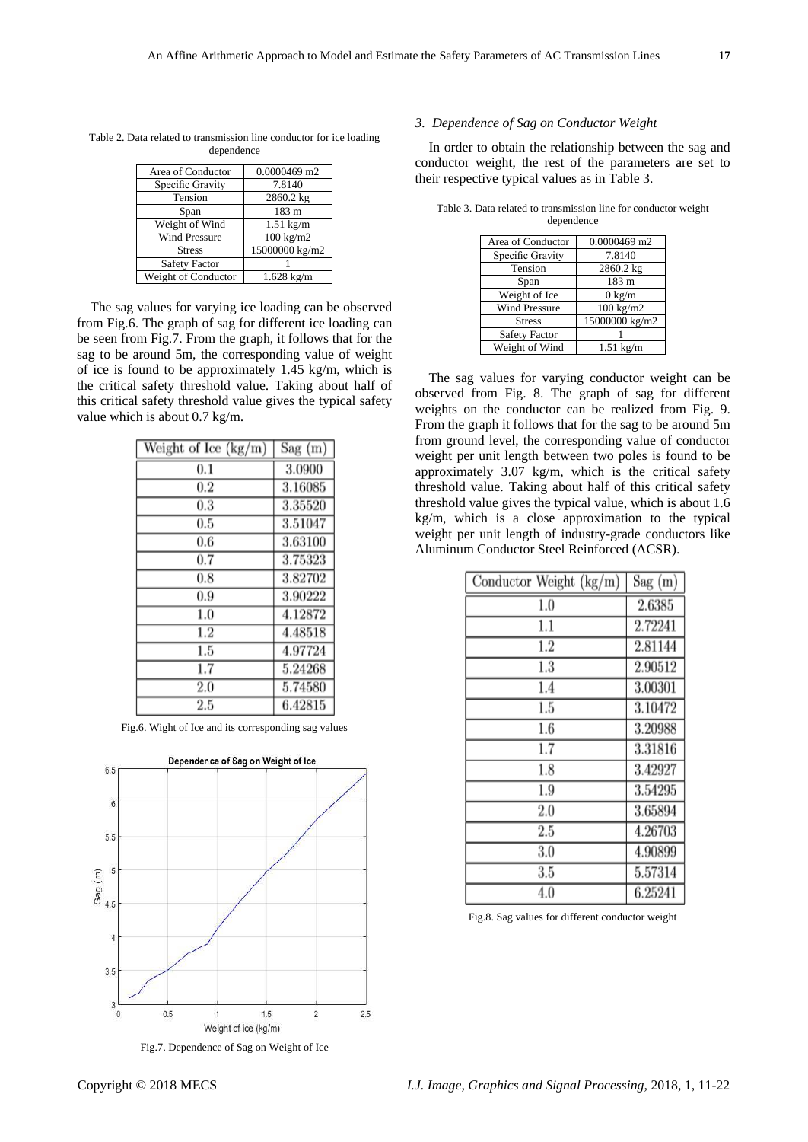|  |            | Table 2. Data related to transmission line conductor for ice loading |
|--|------------|----------------------------------------------------------------------|
|  | dependence |                                                                      |

| Area of Conductor    | 0.0000469 m2        |
|----------------------|---------------------|
| Specific Gravity     | 7.8140              |
| Tension              | 2860.2 kg           |
| Span                 | 183 <sub>m</sub>    |
| Weight of Wind       | $1.51 \text{ kg/m}$ |
| <b>Wind Pressure</b> | $100 \text{ kg/m2}$ |
| <b>Stress</b>        | 15000000 kg/m2      |
| <b>Safety Factor</b> |                     |
| Weight of Conductor  | $1.628$ kg/m        |

The sag values for varying ice loading can be observed from Fig.6. The graph of sag for different ice loading can be seen from Fig.7. From the graph, it follows that for the sag to be around 5m, the corresponding value of weight of ice is found to be approximately 1.45 kg/m, which is the critical safety threshold value. Taking about half of this critical safety threshold value gives the typical safety value which is about 0.7 kg/m.

| Weight of Ice (kg/m) | $Sag$ (m) |
|----------------------|-----------|
| 0.1                  | 3.0900    |
| 0.2                  | 3.16085   |
| 0.3                  | 3.35520   |
| 0.5                  | 3.51047   |
| 0.6                  | 3.63100   |
| 0.7                  | 3.75323   |
| 0.8                  | 3.82702   |
| 0.9                  | 3.90222   |
| 1.0                  | 4.12872   |
| $1.2\,$              | 4.48518   |
| 1.5                  | 4.97724   |
| $\overline{1.7}$     | 5.24268   |
| 2.0                  | 5.74580   |
| 2.5                  | 6.42815   |

Fig.6. Wight of Ice and its corresponding sag values



Fig.7. Dependence of Sag on Weight of Ice

#### *3. Dependence of Sag on Conductor Weight*

In order to obtain the relationship between the sag and conductor weight, the rest of the parameters are set to their respective typical values as in Table 3.

| Area of Conductor    | 0.0000469 m2        |
|----------------------|---------------------|
| Specific Gravity     | 7.8140              |
| Tension              | 2860.2 kg           |
| Span                 | 183 m               |
| Weight of Ice        | $0 \text{ kg/m}$    |
| <b>Wind Pressure</b> | $100 \text{ kg/m2}$ |
| <b>Stress</b>        | 15000000 kg/m2      |
| <b>Safety Factor</b> |                     |
| Weight of Wind       | $1.51 \text{ kg/m}$ |

Table 3. Data related to transmission line for conductor weight dependence

The sag values for varying conductor weight can be observed from Fig. 8. The graph of sag for different weights on the conductor can be realized from Fig. 9. From the graph it follows that for the sag to be around 5m from ground level, the corresponding value of conductor weight per unit length between two poles is found to be approximately 3.07 kg/m, which is the critical safety threshold value. Taking about half of this critical safety threshold value gives the typical value, which is about 1.6 kg/m, which is a close approximation to the typical weight per unit length of industry-grade conductors like Aluminum Conductor Steel Reinforced (ACSR).

| Conductor Weight (kg/m) | Sag(m)  |
|-------------------------|---------|
| 1.0                     | 2.6385  |
| $1.1\,$                 | 2.72241 |
| $1.2\,$                 | 2.81144 |
| 1.3                     | 2.90512 |
| 1.4                     | 3.00301 |
| 1.5                     | 3.10472 |
| 1.6                     | 3.20988 |
| 1.7                     | 3.31816 |
| 1.8                     | 3.42927 |
| 1.9                     | 3.54295 |
| 2.0                     | 3.65894 |
| 2.5                     | 4.26703 |
| 3.0                     | 4.90899 |
| 3.5                     | 5.57314 |
| 4.0                     | 6.25241 |

Fig.8. Sag values for different conductor weight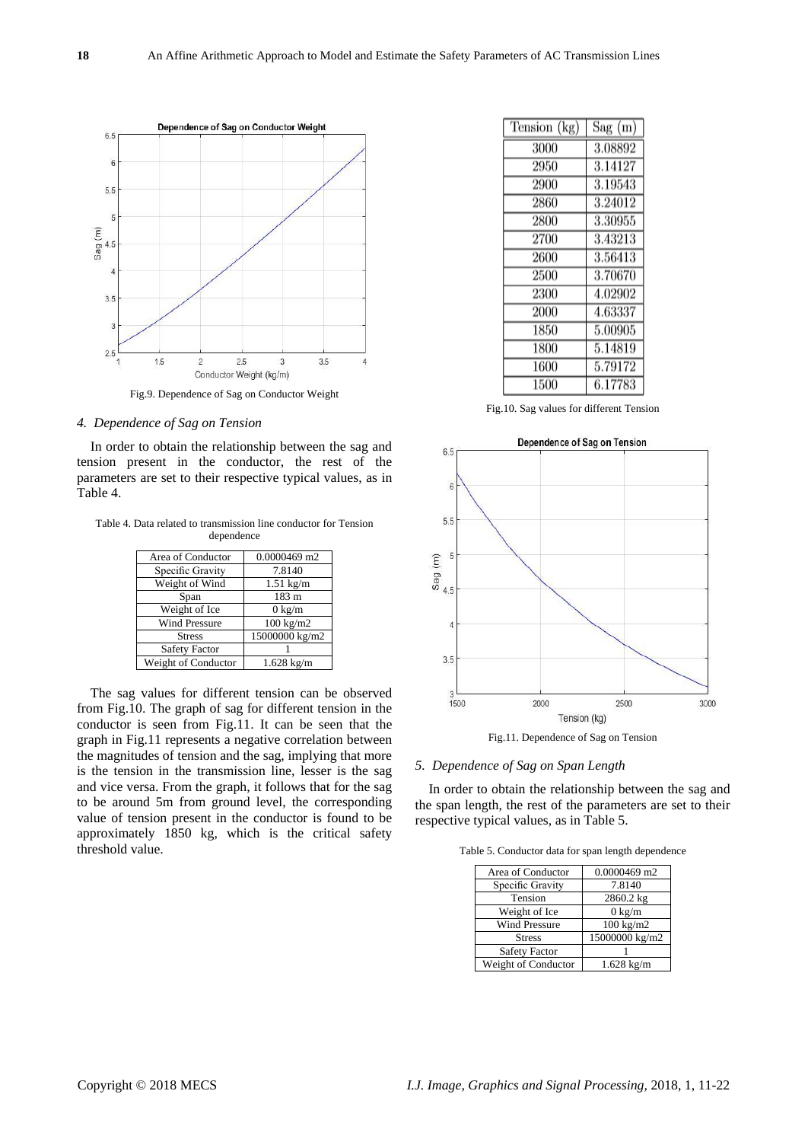

# *4. Dependence of Sag on Tension*

In order to obtain the relationship between the sag and tension present in the conductor, the rest of the parameters are set to their respective typical values, as in Table 4.

Table 4. Data related to transmission line conductor for Tension dependence

| Area of Conductor    | $0.0000469$ m2       |
|----------------------|----------------------|
| Specific Gravity     | 7.8140               |
| Weight of Wind       | $1.51 \text{ kg/m}$  |
| Span                 | 183 m                |
| Weight of Ice        | $0 \text{ kg/m}$     |
| <b>Wind Pressure</b> | $100 \text{ kg/m2}$  |
| <b>Stress</b>        | 15000000 kg/m2       |
| <b>Safety Factor</b> |                      |
| Weight of Conductor  | $1.628 \text{ kg/m}$ |

The sag values for different tension can be observed from Fig.10. The graph of sag for different tension in the conductor is seen from Fig.11. It can be seen that the graph in Fig.11 represents a negative correlation between the magnitudes of tension and the sag, implying that more is the tension in the transmission line, lesser is the sag and vice versa. From the graph, it follows that for the sag to be around 5m from ground level, the corresponding value of tension present in the conductor is found to be approximately 1850 kg, which is the critical safety threshold value.

| Tension (kg) | Sag(m)  |
|--------------|---------|
| 3000         | 3.08892 |
| 2950         | 3.14127 |
| 2900         | 3.19543 |
| 2860         | 3.24012 |
| 2800         | 3.30955 |
| 2700         | 3.43213 |
| 2600         | 3.56413 |
| 2500         | 3.70670 |
| 2300         | 4.02902 |
| 2000         | 4.63337 |
| 1850         | 5.00905 |
| 1800         | 5.14819 |
| 1600         | 5.79172 |
| 1500         | 6.17783 |

Fig.10. Sag values for different Tension



Fig.11. Dependence of Sag on Tension

# *5. Dependence of Sag on Span Length*

In order to obtain the relationship between the sag and the span length, the rest of the parameters are set to their respective typical values, as in Table 5.

Table 5. Conductor data for span length dependence

| Area of Conductor    | 0.0000469 m2         |
|----------------------|----------------------|
| Specific Gravity     | 7.8140               |
| Tension              | 2860.2 kg            |
| Weight of Ice        | $0 \text{ kg/m}$     |
| <b>Wind Pressure</b> | $100 \text{ kg/m2}$  |
| <b>Stress</b>        | 15000000 kg/m2       |
| <b>Safety Factor</b> |                      |
| Weight of Conductor  | $1.628 \text{ kg/m}$ |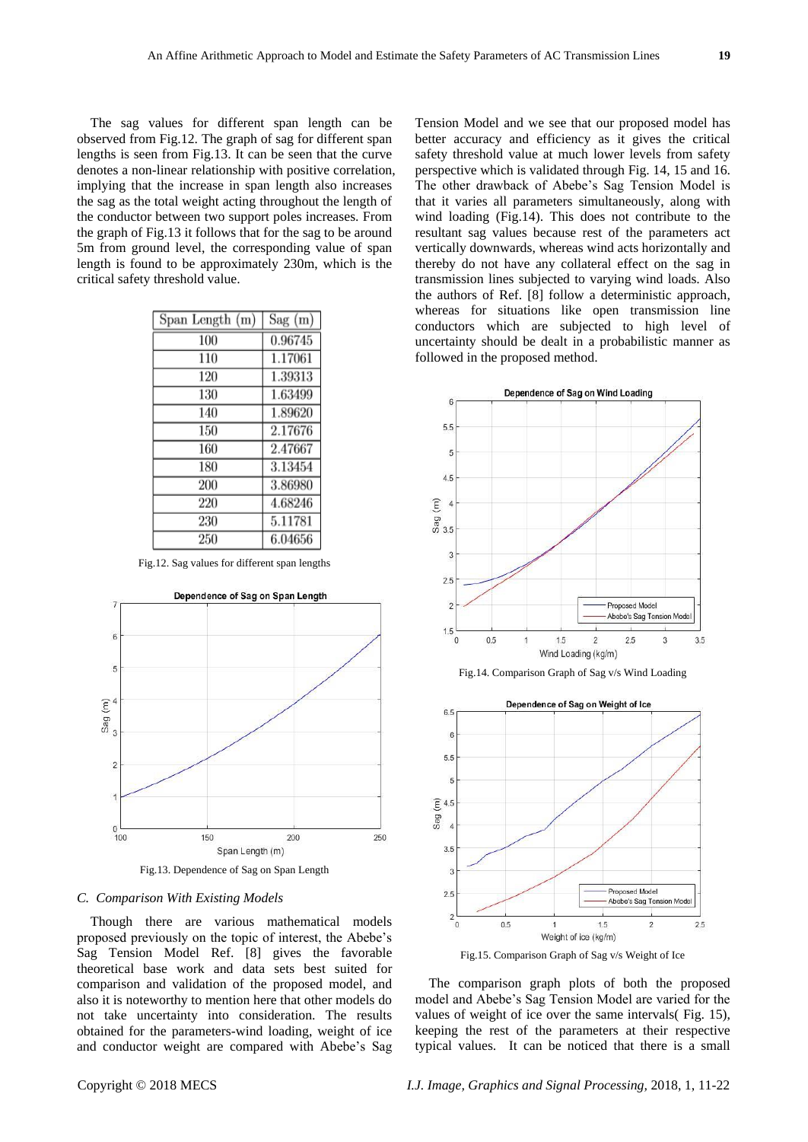The sag values for different span length can be observed from Fig.12. The graph of sag for different span lengths is seen from Fig.13. It can be seen that the curve denotes a non-linear relationship with positive correlation, implying that the increase in span length also increases the sag as the total weight acting throughout the length of the conductor between two support poles increases. From the graph of Fig.13 it follows that for the sag to be around 5m from ground level, the corresponding value of span length is found to be approximately 230m, which is the critical safety threshold value.

| Span Length (m) | Sag(m)  |
|-----------------|---------|
| 100             | 0.96745 |
| 110             | 1.17061 |
| 120             | 1.39313 |
| 130             | 1.63499 |
| 140             | 1.89620 |
| 150             | 2.17676 |
| 160             | 2.47667 |
| 180             | 3.13454 |
| 200             | 3.86980 |
| 220             | 4.68246 |
| 230             | 5.11781 |
| 250             | 6.04656 |

Fig.12. Sag values for different span lengths



#### *C. Comparison With Existing Models*

Though there are various mathematical models proposed previously on the topic of interest, the Abebe's Sag Tension Model Ref. [8] gives the favorable theoretical base work and data sets best suited for comparison and validation of the proposed model, and also it is noteworthy to mention here that other models do not take uncertainty into consideration. The results obtained for the parameters-wind loading, weight of ice and conductor weight are compared with Abebe's Sag

Tension Model and we see that our proposed model has better accuracy and efficiency as it gives the critical safety threshold value at much lower levels from safety perspective which is validated through Fig. 14, 15 and 16. The other drawback of Abebe's Sag Tension Model is that it varies all parameters simultaneously, along with wind loading (Fig.14). This does not contribute to the resultant sag values because rest of the parameters act vertically downwards, whereas wind acts horizontally and thereby do not have any collateral effect on the sag in transmission lines subjected to varying wind loads. Also the authors of Ref. [8] follow a deterministic approach, whereas for situations like open transmission line conductors which are subjected to high level of uncertainty should be dealt in a probabilistic manner as followed in the proposed method.



Fig.14. Comparison Graph of Sag v/s Wind Loading



Fig.15. Comparison Graph of Sag v/s Weight of Ice

The comparison graph plots of both the proposed model and Abebe's Sag Tension Model are varied for the values of weight of ice over the same intervals( Fig. 15), keeping the rest of the parameters at their respective typical values. It can be noticed that there is a small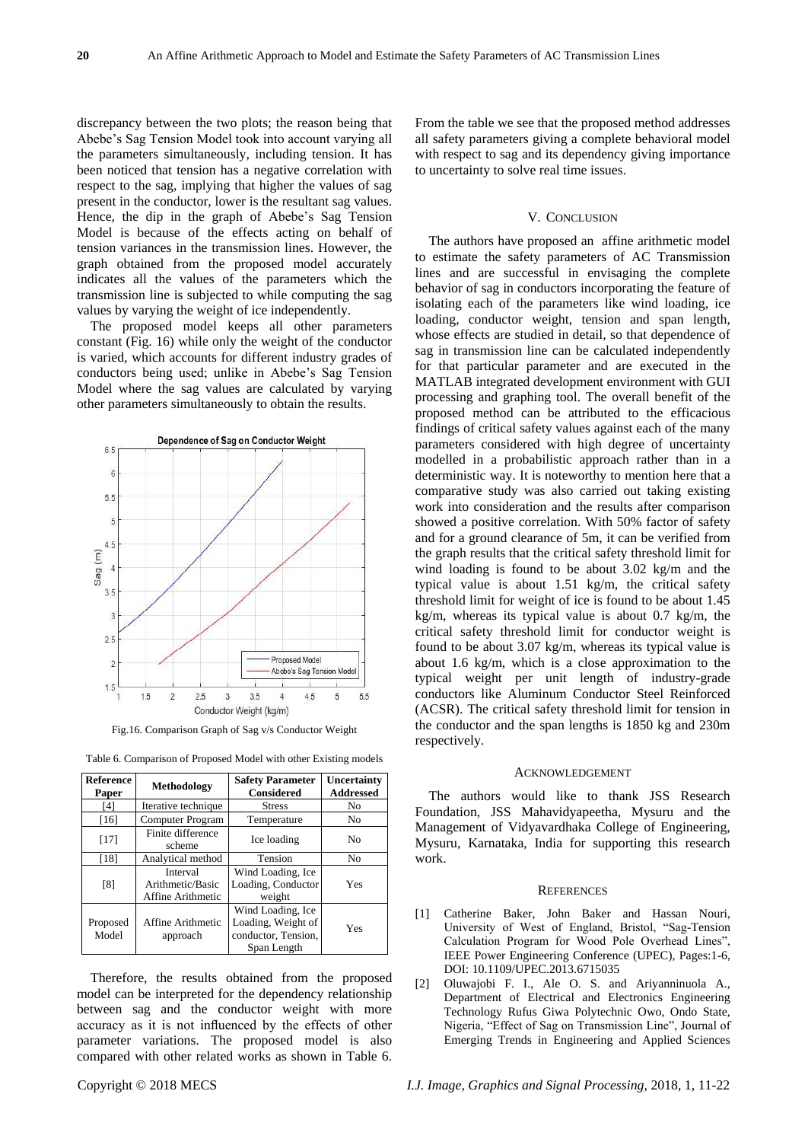discrepancy between the two plots; the reason being that Abebe's Sag Tension Model took into account varying all the parameters simultaneously, including tension. It has been noticed that tension has a negative correlation with respect to the sag, implying that higher the values of sag present in the conductor, lower is the resultant sag values. Hence, the dip in the graph of Abebe's Sag Tension Model is because of the effects acting on behalf of tension variances in the transmission lines. However, the graph obtained from the proposed model accurately indicates all the values of the parameters which the transmission line is subjected to while computing the sag values by varying the weight of ice independently.

The proposed model keeps all other parameters constant (Fig. 16) while only the weight of the conductor is varied, which accounts for different industry grades of conductors being used; unlike in Abebe's Sag Tension Model where the sag values are calculated by varying other parameters simultaneously to obtain the results.



Fig.16. Comparison Graph of Sag v/s Conductor Weight

| <b>Reference</b><br>Paper | <b>Methodology</b>                                | <b>Safety Parameter</b><br>Considered                                         | Uncertainty<br><b>Addressed</b> |
|---------------------------|---------------------------------------------------|-------------------------------------------------------------------------------|---------------------------------|
| [4]                       | Iterative technique                               | <b>Stress</b>                                                                 | No                              |
| $[16]$                    | Computer Program                                  | Temperature                                                                   | No                              |
| $[17]$                    | Finite difference<br>scheme                       | Ice loading                                                                   | N <sub>0</sub>                  |
| [18]                      | Analytical method                                 | Tension                                                                       | No                              |
| [8]                       | Interval<br>Arithmetic/Basic<br>Affine Arithmetic | Wind Loading, Ice<br>Loading, Conductor<br>weight                             | Yes                             |
| Proposed<br>Model         | Affine Arithmetic<br>approach                     | Wind Loading, Ice<br>Loading, Weight of<br>conductor, Tension,<br>Span Length | Yes                             |

Table 6. Comparison of Proposed Model with other Existing models

Therefore, the results obtained from the proposed model can be interpreted for the dependency relationship between sag and the conductor weight with more accuracy as it is not influenced by the effects of other parameter variations. The proposed model is also compared with other related works as shown in Table 6. From the table we see that the proposed method addresses all safety parameters giving a complete behavioral model with respect to sag and its dependency giving importance to uncertainty to solve real time issues.

#### V. CONCLUSION

The authors have proposed an affine arithmetic model to estimate the safety parameters of AC Transmission lines and are successful in envisaging the complete behavior of sag in conductors incorporating the feature of isolating each of the parameters like wind loading, ice loading, conductor weight, tension and span length, whose effects are studied in detail, so that dependence of sag in transmission line can be calculated independently for that particular parameter and are executed in the MATLAB integrated development environment with GUI processing and graphing tool. The overall benefit of the proposed method can be attributed to the efficacious findings of critical safety values against each of the many parameters considered with high degree of uncertainty modelled in a probabilistic approach rather than in a deterministic way. It is noteworthy to mention here that a comparative study was also carried out taking existing work into consideration and the results after comparison showed a positive correlation. With 50% factor of safety and for a ground clearance of 5m, it can be verified from the graph results that the critical safety threshold limit for wind loading is found to be about 3.02 kg/m and the typical value is about 1.51 kg/m, the critical safety threshold limit for weight of ice is found to be about 1.45 kg/m, whereas its typical value is about 0.7 kg/m, the critical safety threshold limit for conductor weight is found to be about 3.07 kg/m, whereas its typical value is about 1.6 kg/m, which is a close approximation to the typical weight per unit length of industry-grade conductors like Aluminum Conductor Steel Reinforced (ACSR). The critical safety threshold limit for tension in the conductor and the span lengths is 1850 kg and 230m respectively.

#### ACKNOWLEDGEMENT

The authors would like to thank JSS Research Foundation, JSS Mahavidyapeetha, Mysuru and the Management of Vidyavardhaka College of Engineering, Mysuru, Karnataka, India for supporting this research work.

#### **REFERENCES**

- [1] Catherine Baker, John Baker and Hassan Nouri, University of West of England, Bristol, "Sag-Tension Calculation Program for Wood Pole Overhead Lines", IEEE Power Engineering Conference (UPEC), Pages:1-6, DOI: [10.1109/UPEC.2013.6715035](https://doi.org/10.1109/UPEC.2013.6715035)
- [2] Oluwajobi F. I., Ale O. S. and Ariyanninuola A., Department of Electrical and Electronics Engineering Technology Rufus Giwa Polytechnic Owo, Ondo State, Nigeria, "Effect of Sag on Transmission Line", Journal of Emerging Trends in Engineering and Applied Sciences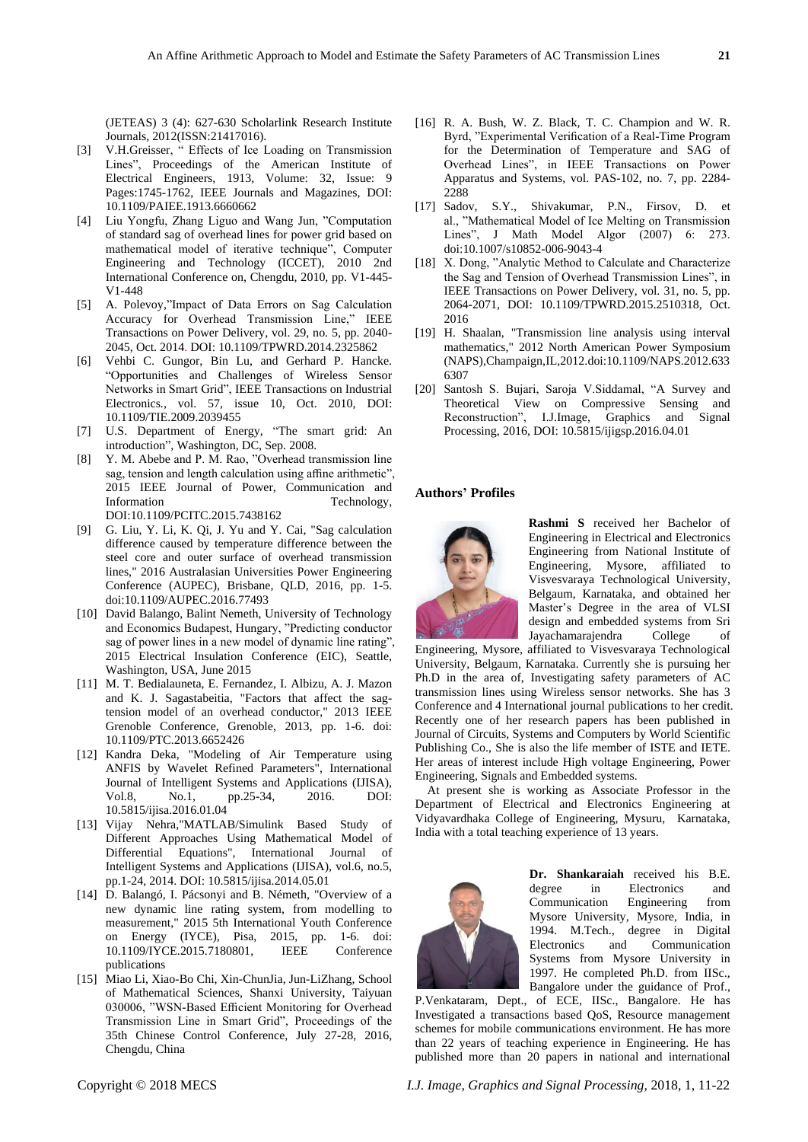(JETEAS) 3 (4): 627-630 Scholarlink Research Institute Journals, 2012(ISSN:21417016).

- [3] V.H.Greisser, " Effects of Ice Loading on Transmission Lines", [Proceedings of the American Institute of](http://ieeexplore.ieee.org/xpl/RecentIssue.jsp?punumber=6530810)  [Electrical Engineers,](http://ieeexplore.ieee.org/xpl/RecentIssue.jsp?punumber=6530810) 1913, Volume: 32, [Issue: 9](http://ieeexplore.ieee.org/xpl/tocresult.jsp?isnumber=6660651) Pages:1745-1762, IEEE Journals and Magazines, DOI: [10.1109/PAIEE.1913.6660662](https://doi.org/10.1109/PAIEE.1913.6660662)
- [4] Liu Yongfu, Zhang Liguo and Wang Jun, "Computation of standard sag of overhead lines for power grid based on mathematical model of iterative technique", Computer Engineering and Technology (ICCET), 2010 2nd International Conference on, Chengdu, 2010, pp. V1-445- V1-448
- [5] A. Polevoy,"Impact of Data Errors on Sag Calculation Accuracy for Overhead Transmission Line," IEEE Transactions on Power Delivery, vol. 29, no. 5, pp. 2040- 2045, Oct. 2014. DOI: [10.1109/TPWRD.2014.2325862](https://doi.org/10.1109/TPWRD.2014.2325862)
- [6] Vehbi C. Gungor, Bin Lu, and Gerhard P. Hancke. "Opportunities and Challenges of Wireless Sensor Networks in Smart Grid", [IEEE Transactions on Industrial](http://ieeexplore.ieee.org/xpl/RecentIssue.jsp?punumber=41)  [Electronics](http://ieeexplore.ieee.org/xpl/RecentIssue.jsp?punumber=41)*.*, vol. 57, issue 10, Oct. 2010, DOI: [10.1109/TIE.2009.2039455](https://doi.org/10.1109/TIE.2009.2039455)
- [7] U.S. Department of Energy, "The smart grid: An introduction", Washington, DC, Sep. 2008.
- [8] Y. M. Abebe and P. M. Rao, "Overhead transmission line sag, tension and length calculation using affine arithmetic", 2015 IEEE Journal of Power, Communication and Information Technology, DOI:10.1109/PCITC.2015.7438162
- [9] G. Liu, Y. Li, K. Qi, J. Yu and Y. Cai, "Sag calculation difference caused by temperature difference between the steel core and outer surface of overhead transmission lines," 2016 Australasian Universities Power Engineering Conference (AUPEC), Brisbane, QLD, 2016, pp. 1-5. doi:10.1109/AUPEC.2016.77493
- [10] David Balango, Balint Nemeth, University of Technology and Economics Budapest, Hungary, "Predicting conductor sag of power lines in a new model of dynamic line rating", 2015 Electrical Insulation Conference (EIC), Seattle, Washington, USA, June 2015
- [11] M. T. Bedialauneta, E. Fernandez, I. Albizu, A. J. Mazon and K. J. Sagastabeitia, "Factors that affect the sagtension model of an overhead conductor," 2013 IEEE Grenoble Conference, Grenoble, 2013, pp. 1-6. doi: 10.1109/PTC.2013.6652426
- [12] Kandra Deka, "Modeling of Air Temperature using ANFIS by Wavelet Refined Parameters", International Journal of Intelligent Systems and Applications (IJISA), Vol.8, No.1, pp.25-34, 2016. DOI: 10.5815/ijisa.2016.01.04
- [13] Vijay Nehra,"MATLAB/Simulink Based Study of Different Approaches Using Mathematical Model of Differential Equations", International Journal of Intelligent Systems and Applications (IJISA), vol.6, no.5, pp.1-24, 2014. DOI: 10.5815/ijisa.2014.05.01
- [14] D. Balangó, I. Pácsonyi and B. Németh, "Overview of a new dynamic line rating system, from modelling to measurement," 2015 5th International Youth Conference on Energy (IYCE), Pisa, 2015, pp. 1-6. doi: 10.1109/IYCE.2015.7180801, IEEE Conference publications
- [15] Miao Li, Xiao-Bo Chi, Xin-ChunJia, Jun-LiZhang, School of Mathematical Sciences, Shanxi University, Taiyuan 030006, "WSN-Based Efficient Monitoring for Overhead Transmission Line in Smart Grid", Proceedings of the 35th Chinese Control Conference, July 27-28, 2016, Chengdu, China
- [16] R. A. Bush, W. Z. Black, T. C. Champion and W. R. Byrd, "Experimental Verification of a Real-Time Program for the Determination of Temperature and SAG of Overhead Lines", in IEEE Transactions on Power Apparatus and Systems, vol. PAS-102, no. 7, pp. 2284- 2288
- [17] Sadov, S.Y., Shivakumar, P.N., Firsov, D. et al., "Mathematical Model of Ice Melting on Transmission Lines", J Math Model Algor (2007) 6: 273. doi:10.1007/s10852-006-9043-4
- [18] X. Dong, "Analytic Method to Calculate and Characterize the Sag and Tension of Overhead Transmission Lines", in IEEE Transactions on Power Delivery, vol. 31, no. 5, pp. 2064-2071, DOI: [10.1109/TPWRD.2015.2510318,](https://doi.org/10.1109/TPWRD.2015.2510318) Oct. 2016
- [19] H. Shaalan, "Transmission line analysis using interval mathematics," 2012 North American Power Symposium (NAPS),Champaign,IL,2012.doi:10.1109/NAPS.2012.633 6307
- [20] Santosh S. Bujari, Saroja V.Siddamal, "A Survey and Theoretical View on Compressive Sensing and Reconstruction", I.J.Image, Graphics and Signal Processing, 2016, DOI: 10.5815/ijigsp.2016.04.01

#### **Authors' Profiles**



**Rashmi S** received her Bachelor of Engineering in Electrical and Electronics Engineering from National Institute of Engineering, Mysore, affiliated to Visvesvaraya Technological University, Belgaum, Karnataka, and obtained her Master's Degree in the area of VLSI design and embedded systems from Sri Jayachamarajendra College of

Engineering, Mysore, affiliated to Visvesvaraya Technological University, Belgaum, Karnataka. Currently she is pursuing her Ph.D in the area of, Investigating safety parameters of AC transmission lines using Wireless sensor networks. She has 3 Conference and 4 International journal publications to her credit. Recently one of her research papers has been published in Journal of Circuits, Systems and Computers by World Scientific Publishing Co., She is also the life member of ISTE and IETE. Her areas of interest include High voltage Engineering, Power Engineering, Signals and Embedded systems.

At present she is working as Associate Professor in the Department of Electrical and Electronics Engineering at Vidyavardhaka College of Engineering, Mysuru, Karnataka, India with a total teaching experience of 13 years.



**Dr. Shankaraiah** received his B.E. degree in Electronics and Communication Engineering from Mysore University, Mysore, India, in 1994. M.Tech., degree in Digital Electronics and Communication Systems from Mysore University in 1997. He completed Ph.D. from IISc., Bangalore under the guidance of [Prof.,](http://pet.ece.iisc.ernet.in/pallapa/) 

[P.Venkataram,](http://pet.ece.iisc.ernet.in/pallapa/) Dept., of ECE, IISc., Bangalore. He has Investigated a transactions based QoS, Resource management schemes for mobile communications environment. He has more than 22 years of teaching experience in Engineering. He has published more than 20 papers in national and international